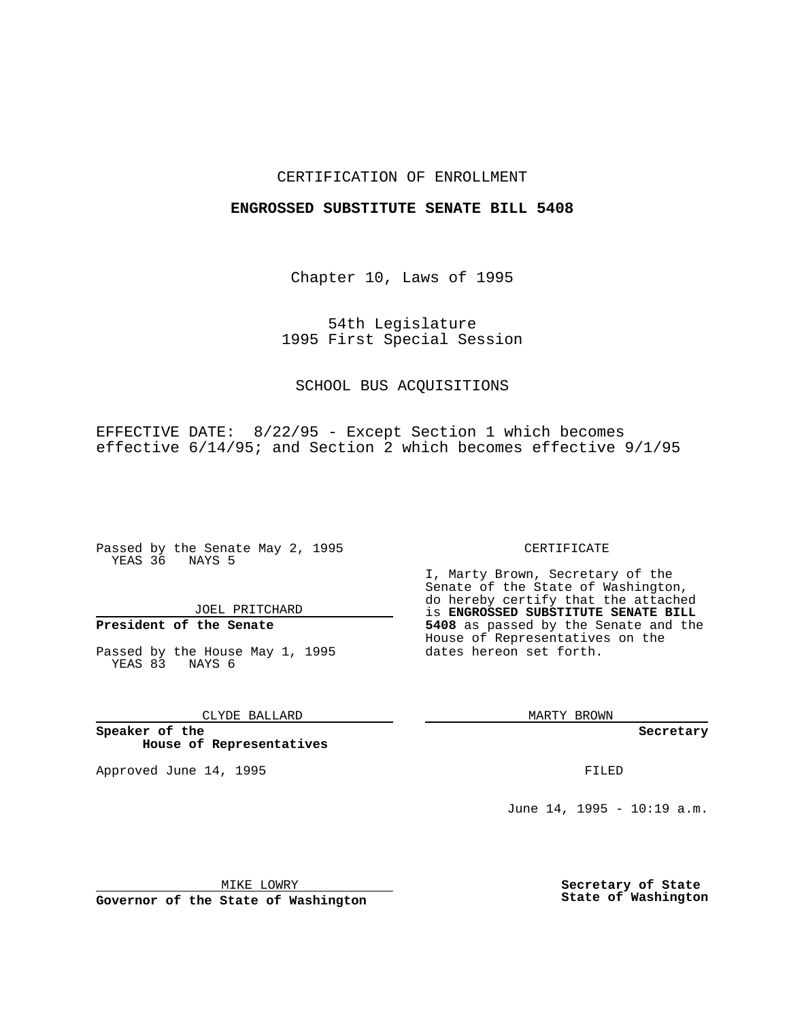## CERTIFICATION OF ENROLLMENT

### **ENGROSSED SUBSTITUTE SENATE BILL 5408**

Chapter 10, Laws of 1995

54th Legislature 1995 First Special Session

## SCHOOL BUS ACQUISITIONS

EFFECTIVE DATE: 8/22/95 - Except Section 1 which becomes effective 6/14/95; and Section 2 which becomes effective 9/1/95

Passed by the Senate May 2, 1995 YEAS 36 NAYS 5

JOEL PRITCHARD

# **President of the Senate**

Passed by the House May 1, 1995 YEAS 83 NAYS 6

CLYDE BALLARD

**Speaker of the House of Representatives**

Approved June 14, 1995 **FILED** 

#### CERTIFICATE

I, Marty Brown, Secretary of the Senate of the State of Washington, do hereby certify that the attached is **ENGROSSED SUBSTITUTE SENATE BILL 5408** as passed by the Senate and the House of Representatives on the dates hereon set forth.

MARTY BROWN

**Secretary**

June 14, 1995 - 10:19 a.m.

MIKE LOWRY

**Governor of the State of Washington**

**Secretary of State State of Washington**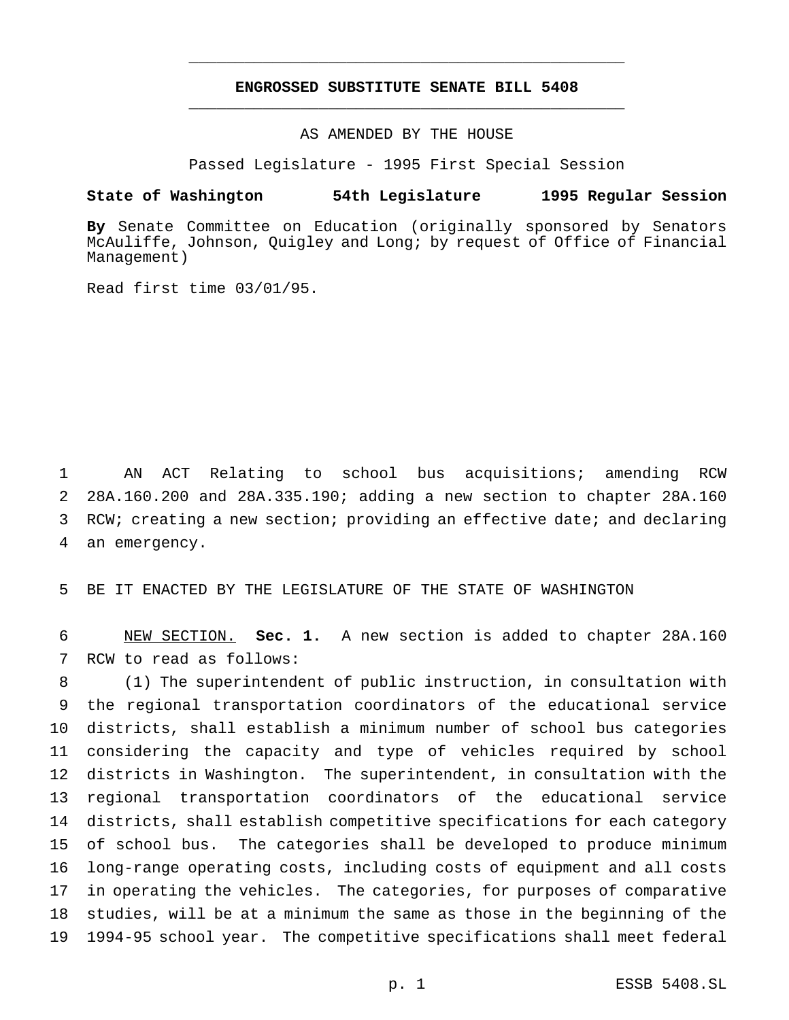# **ENGROSSED SUBSTITUTE SENATE BILL 5408** \_\_\_\_\_\_\_\_\_\_\_\_\_\_\_\_\_\_\_\_\_\_\_\_\_\_\_\_\_\_\_\_\_\_\_\_\_\_\_\_\_\_\_\_\_\_\_

\_\_\_\_\_\_\_\_\_\_\_\_\_\_\_\_\_\_\_\_\_\_\_\_\_\_\_\_\_\_\_\_\_\_\_\_\_\_\_\_\_\_\_\_\_\_\_

AS AMENDED BY THE HOUSE

Passed Legislature - 1995 First Special Session

#### **State of Washington 54th Legislature 1995 Regular Session**

**By** Senate Committee on Education (originally sponsored by Senators McAuliffe, Johnson, Quigley and Long; by request of Office of Financial Management)

Read first time 03/01/95.

 AN ACT Relating to school bus acquisitions; amending RCW 28A.160.200 and 28A.335.190; adding a new section to chapter 28A.160 RCW; creating a new section; providing an effective date; and declaring an emergency.

BE IT ENACTED BY THE LEGISLATURE OF THE STATE OF WASHINGTON

 NEW SECTION. **Sec. 1.** A new section is added to chapter 28A.160 RCW to read as follows:

 (1) The superintendent of public instruction, in consultation with the regional transportation coordinators of the educational service districts, shall establish a minimum number of school bus categories considering the capacity and type of vehicles required by school districts in Washington. The superintendent, in consultation with the regional transportation coordinators of the educational service districts, shall establish competitive specifications for each category of school bus. The categories shall be developed to produce minimum long-range operating costs, including costs of equipment and all costs in operating the vehicles. The categories, for purposes of comparative studies, will be at a minimum the same as those in the beginning of the 1994-95 school year. The competitive specifications shall meet federal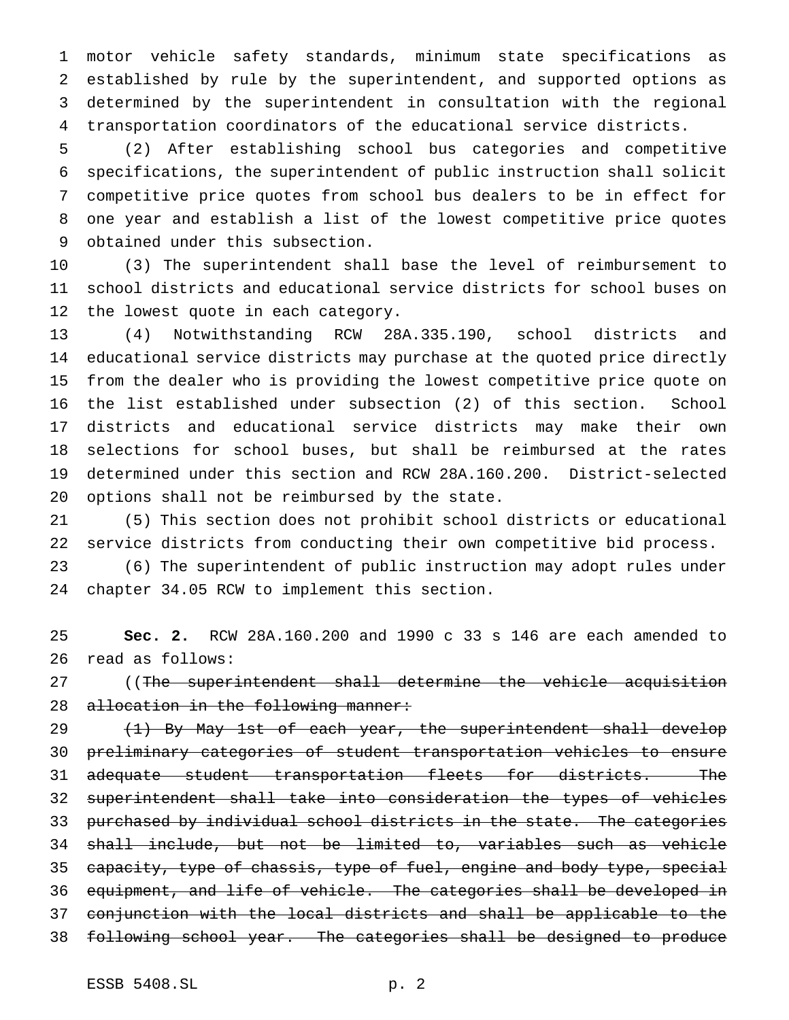motor vehicle safety standards, minimum state specifications as established by rule by the superintendent, and supported options as determined by the superintendent in consultation with the regional transportation coordinators of the educational service districts.

 (2) After establishing school bus categories and competitive specifications, the superintendent of public instruction shall solicit competitive price quotes from school bus dealers to be in effect for one year and establish a list of the lowest competitive price quotes obtained under this subsection.

 (3) The superintendent shall base the level of reimbursement to school districts and educational service districts for school buses on the lowest quote in each category.

 (4) Notwithstanding RCW 28A.335.190, school districts and educational service districts may purchase at the quoted price directly from the dealer who is providing the lowest competitive price quote on the list established under subsection (2) of this section. School districts and educational service districts may make their own selections for school buses, but shall be reimbursed at the rates determined under this section and RCW 28A.160.200. District-selected options shall not be reimbursed by the state.

 (5) This section does not prohibit school districts or educational service districts from conducting their own competitive bid process.

 (6) The superintendent of public instruction may adopt rules under chapter 34.05 RCW to implement this section.

 **Sec. 2.** RCW 28A.160.200 and 1990 c 33 s 146 are each amended to read as follows:

27 ((The superintendent shall determine the vehicle acquisition 28 allocation in the following manner:

29 (1) By May 1st of each year, the superintendent shall develop preliminary categories of student transportation vehicles to ensure 31 adequate student transportation fleets for districts. The superintendent shall take into consideration the types of vehicles 33 purchased by individual school districts in the state. The categories shall include, but not be limited to, variables such as vehicle capacity, type of chassis, type of fuel, engine and body type, special equipment, and life of vehicle. The categories shall be developed in conjunction with the local districts and shall be applicable to the following school year. The categories shall be designed to produce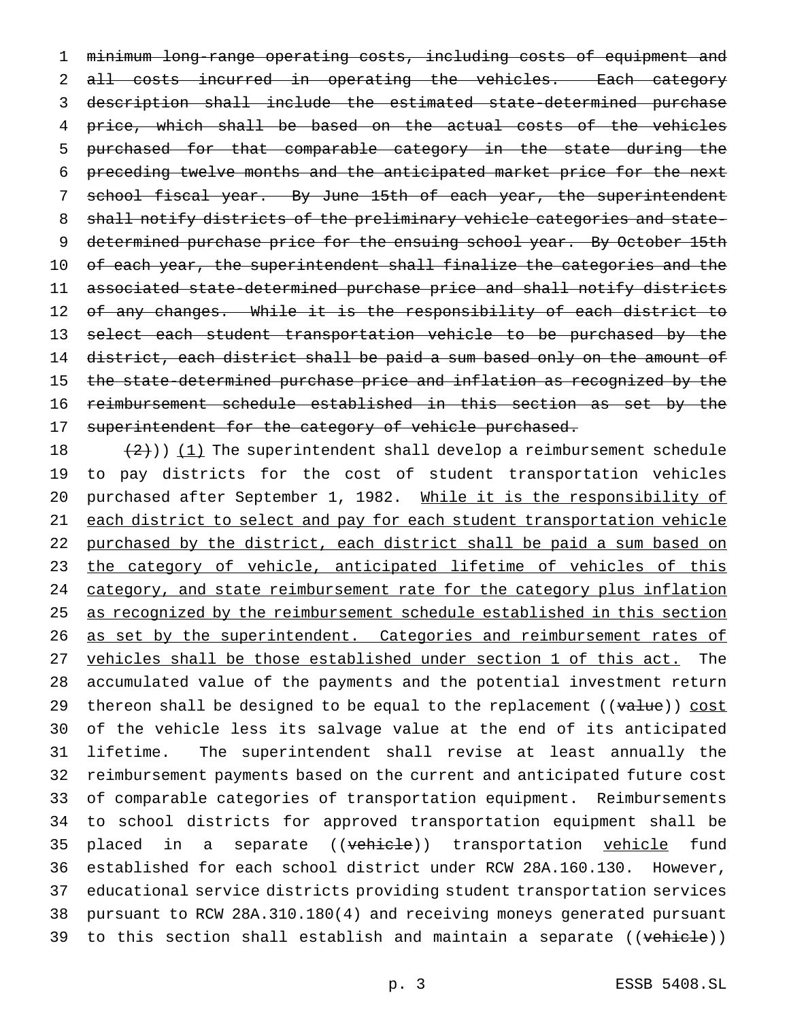1 minimum long-range operating costs, including costs of equipment and 2 all costs incurred in operating the vehicles. Each category 3 description shall include the estimated state-determined purchase 4 price, which shall be based on the actual costs of the vehicles 5 purchased for that comparable category in the state during the 6 preceding twelve months and the anticipated market price for the next 7 school fiscal year. By June 15th of each year, the superintendent 8 shall notify districts of the preliminary vehicle categories and state-9 determined purchase price for the ensuing school year. By October 15th 10 of each year, the superintendent shall finalize the categories and the 11 associated state-determined purchase price and shall notify districts 12 of any changes. While it is the responsibility of each district to 13 select each student transportation vehicle to be purchased by the 14 district, each district shall be paid a sum based only on the amount of 15 the state-determined purchase price and inflation as recognized by the 16 reimbursement schedule established in this section as set by the 17 superintendent for the category of vehicle purchased.

18  $(2)$ )) (1) The superintendent shall develop a reimbursement schedule 19 to pay districts for the cost of student transportation vehicles 20 purchased after September 1, 1982. While it is the responsibility of 21 each district to select and pay for each student transportation vehicle 22 purchased by the district, each district shall be paid a sum based on 23 the category of vehicle, anticipated lifetime of vehicles of this 24 category, and state reimbursement rate for the category plus inflation 25 as recognized by the reimbursement schedule established in this section 26 as set by the superintendent. Categories and reimbursement rates of 27 vehicles shall be those established under section 1 of this act. The 28 accumulated value of the payments and the potential investment return 29 thereon shall be designed to be equal to the replacement (( $value$ )) cost 30 of the vehicle less its salvage value at the end of its anticipated 31 lifetime. The superintendent shall revise at least annually the 32 reimbursement payments based on the current and anticipated future cost 33 of comparable categories of transportation equipment. Reimbursements 34 to school districts for approved transportation equipment shall be 35 placed in a separate ((vehicle)) transportation vehicle fund 36 established for each school district under RCW 28A.160.130. However, 37 educational service districts providing student transportation services 38 pursuant to RCW 28A.310.180(4) and receiving moneys generated pursuant 39 to this section shall establish and maintain a separate ((vehicle))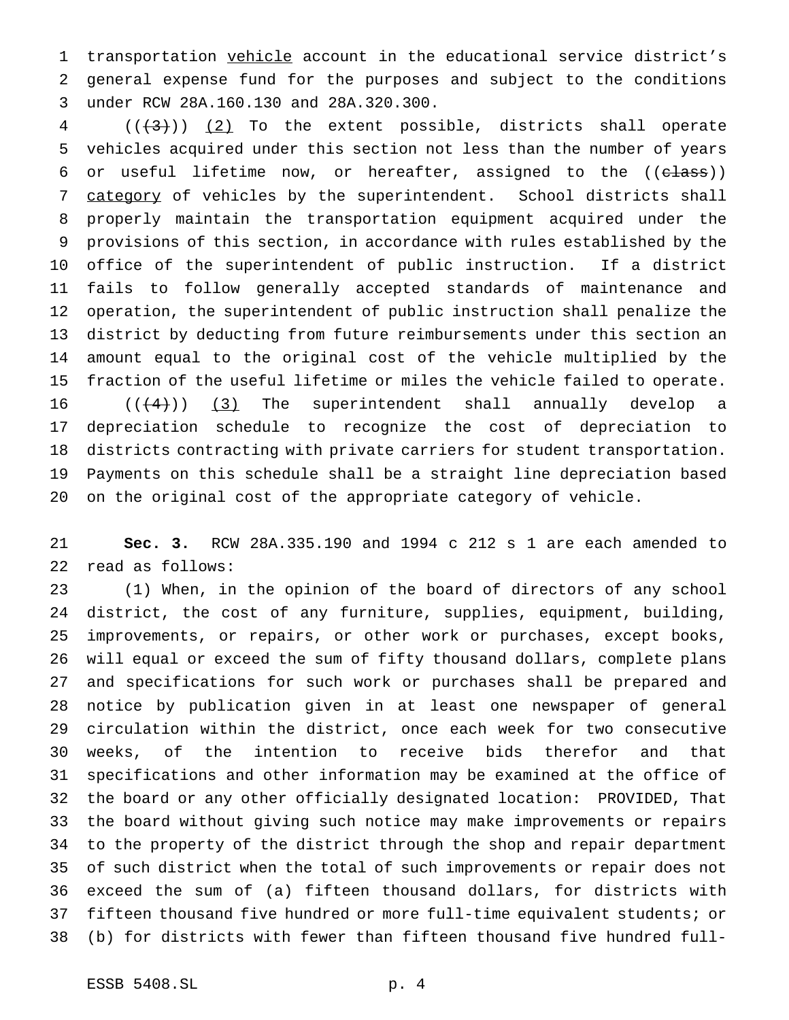transportation vehicle account in the educational service district's general expense fund for the purposes and subject to the conditions under RCW 28A.160.130 and 28A.320.300.

  $((+3))$   $(2)$  To the extent possible, districts shall operate vehicles acquired under this section not less than the number of years 6 or useful lifetime now, or hereafter, assigned to the  $((e \text{lass}))$ 7 category of vehicles by the superintendent. School districts shall properly maintain the transportation equipment acquired under the provisions of this section, in accordance with rules established by the office of the superintendent of public instruction. If a district fails to follow generally accepted standards of maintenance and operation, the superintendent of public instruction shall penalize the district by deducting from future reimbursements under this section an amount equal to the original cost of the vehicle multiplied by the fraction of the useful lifetime or miles the vehicle failed to operate.  $((+4))$  (3) The superintendent shall annually develop a depreciation schedule to recognize the cost of depreciation to districts contracting with private carriers for student transportation. Payments on this schedule shall be a straight line depreciation based on the original cost of the appropriate category of vehicle.

 **Sec. 3.** RCW 28A.335.190 and 1994 c 212 s 1 are each amended to read as follows:

 (1) When, in the opinion of the board of directors of any school district, the cost of any furniture, supplies, equipment, building, improvements, or repairs, or other work or purchases, except books, will equal or exceed the sum of fifty thousand dollars, complete plans and specifications for such work or purchases shall be prepared and notice by publication given in at least one newspaper of general circulation within the district, once each week for two consecutive weeks, of the intention to receive bids therefor and that specifications and other information may be examined at the office of the board or any other officially designated location: PROVIDED, That the board without giving such notice may make improvements or repairs to the property of the district through the shop and repair department of such district when the total of such improvements or repair does not exceed the sum of (a) fifteen thousand dollars, for districts with fifteen thousand five hundred or more full-time equivalent students; or (b) for districts with fewer than fifteen thousand five hundred full-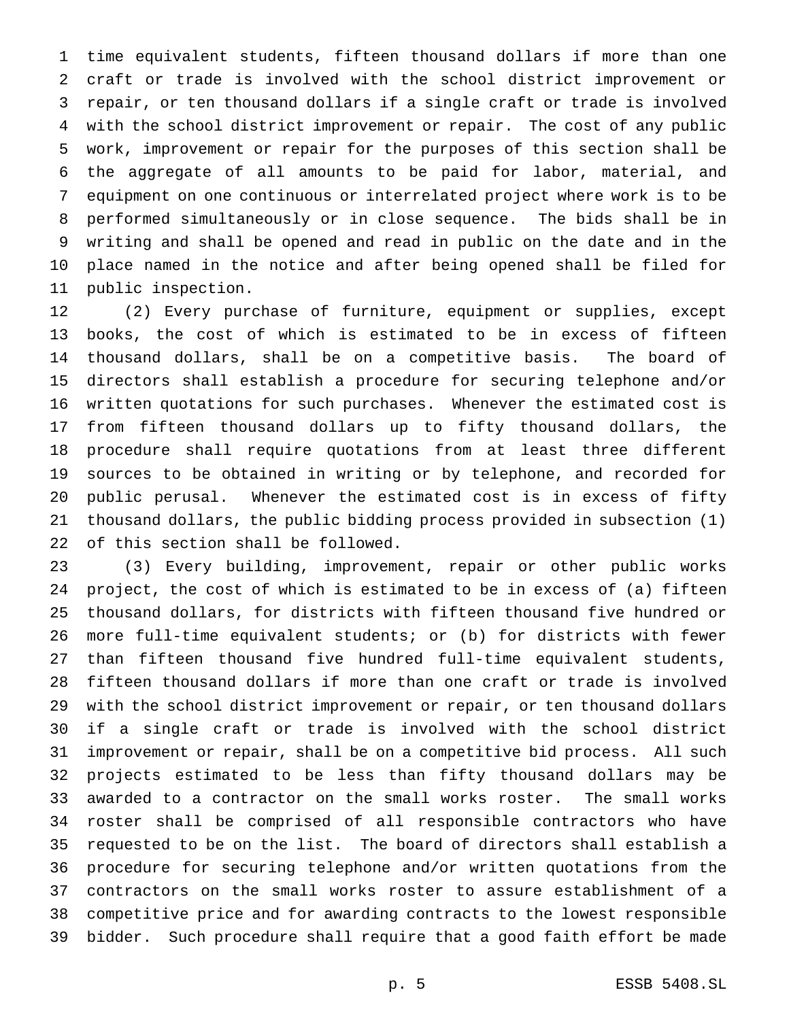time equivalent students, fifteen thousand dollars if more than one craft or trade is involved with the school district improvement or repair, or ten thousand dollars if a single craft or trade is involved with the school district improvement or repair. The cost of any public work, improvement or repair for the purposes of this section shall be the aggregate of all amounts to be paid for labor, material, and equipment on one continuous or interrelated project where work is to be performed simultaneously or in close sequence. The bids shall be in writing and shall be opened and read in public on the date and in the place named in the notice and after being opened shall be filed for public inspection.

 (2) Every purchase of furniture, equipment or supplies, except books, the cost of which is estimated to be in excess of fifteen thousand dollars, shall be on a competitive basis. The board of directors shall establish a procedure for securing telephone and/or written quotations for such purchases. Whenever the estimated cost is from fifteen thousand dollars up to fifty thousand dollars, the procedure shall require quotations from at least three different sources to be obtained in writing or by telephone, and recorded for public perusal. Whenever the estimated cost is in excess of fifty thousand dollars, the public bidding process provided in subsection (1) of this section shall be followed.

 (3) Every building, improvement, repair or other public works project, the cost of which is estimated to be in excess of (a) fifteen thousand dollars, for districts with fifteen thousand five hundred or more full-time equivalent students; or (b) for districts with fewer than fifteen thousand five hundred full-time equivalent students, fifteen thousand dollars if more than one craft or trade is involved with the school district improvement or repair, or ten thousand dollars if a single craft or trade is involved with the school district improvement or repair, shall be on a competitive bid process. All such projects estimated to be less than fifty thousand dollars may be awarded to a contractor on the small works roster. The small works roster shall be comprised of all responsible contractors who have requested to be on the list. The board of directors shall establish a procedure for securing telephone and/or written quotations from the contractors on the small works roster to assure establishment of a competitive price and for awarding contracts to the lowest responsible bidder. Such procedure shall require that a good faith effort be made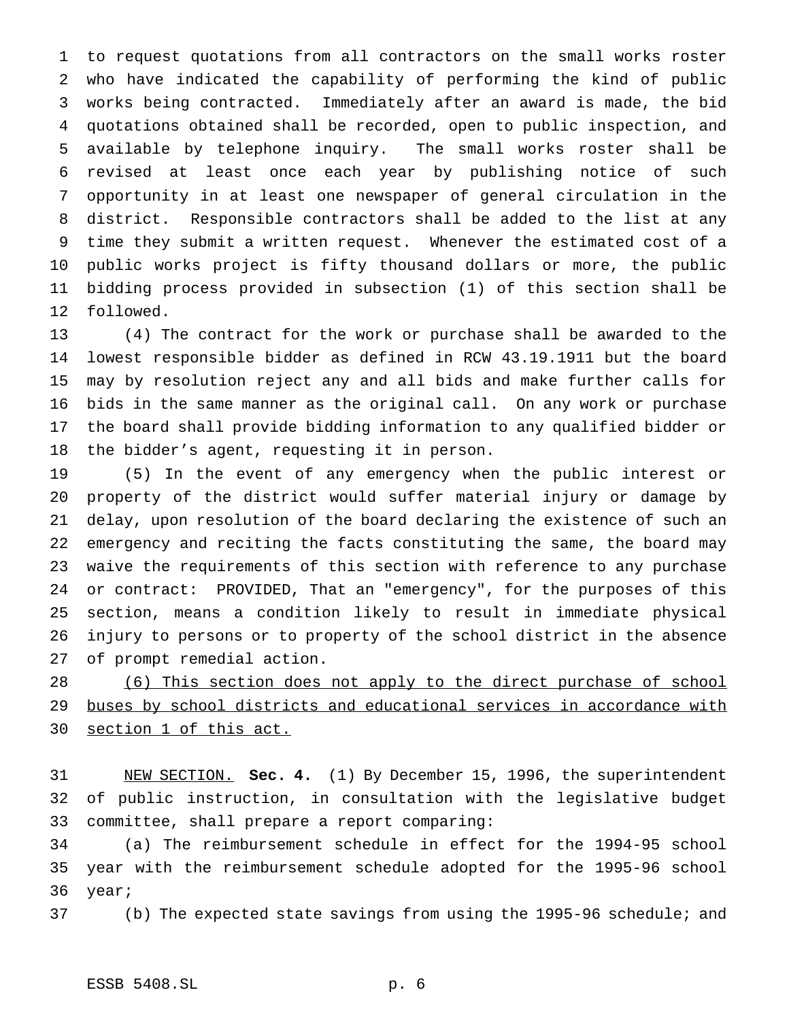to request quotations from all contractors on the small works roster who have indicated the capability of performing the kind of public works being contracted. Immediately after an award is made, the bid quotations obtained shall be recorded, open to public inspection, and available by telephone inquiry. The small works roster shall be revised at least once each year by publishing notice of such opportunity in at least one newspaper of general circulation in the district. Responsible contractors shall be added to the list at any time they submit a written request. Whenever the estimated cost of a public works project is fifty thousand dollars or more, the public bidding process provided in subsection (1) of this section shall be followed.

 (4) The contract for the work or purchase shall be awarded to the lowest responsible bidder as defined in RCW 43.19.1911 but the board may by resolution reject any and all bids and make further calls for bids in the same manner as the original call. On any work or purchase the board shall provide bidding information to any qualified bidder or the bidder's agent, requesting it in person.

 (5) In the event of any emergency when the public interest or property of the district would suffer material injury or damage by delay, upon resolution of the board declaring the existence of such an emergency and reciting the facts constituting the same, the board may waive the requirements of this section with reference to any purchase or contract: PROVIDED, That an "emergency", for the purposes of this section, means a condition likely to result in immediate physical injury to persons or to property of the school district in the absence of prompt remedial action.

28 (6) This section does not apply to the direct purchase of school 29 buses by school districts and educational services in accordance with section 1 of this act.

 NEW SECTION. **Sec. 4.** (1) By December 15, 1996, the superintendent of public instruction, in consultation with the legislative budget committee, shall prepare a report comparing:

 (a) The reimbursement schedule in effect for the 1994-95 school year with the reimbursement schedule adopted for the 1995-96 school year;

(b) The expected state savings from using the 1995-96 schedule; and